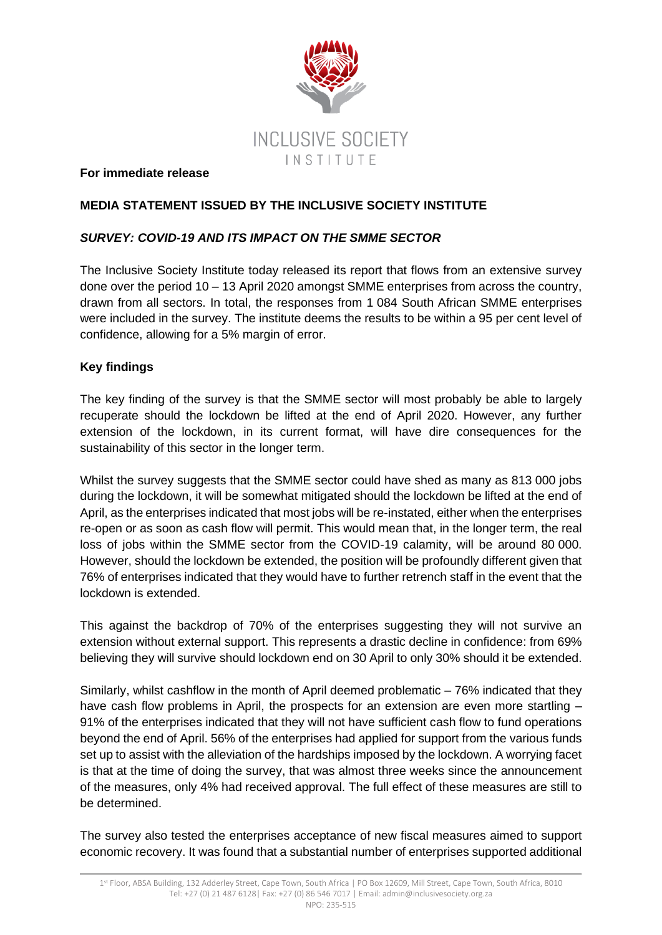

#### **For immediate release**

# **MEDIA STATEMENT ISSUED BY THE INCLUSIVE SOCIETY INSTITUTE**

## *SURVEY: COVID-19 AND ITS IMPACT ON THE SMME SECTOR*

The Inclusive Society Institute today released its report that flows from an extensive survey done over the period 10 – 13 April 2020 amongst SMME enterprises from across the country, drawn from all sectors. In total, the responses from 1 084 South African SMME enterprises were included in the survey. The institute deems the results to be within a 95 per cent level of confidence, allowing for a 5% margin of error.

## **Key findings**

The key finding of the survey is that the SMME sector will most probably be able to largely recuperate should the lockdown be lifted at the end of April 2020. However, any further extension of the lockdown, in its current format, will have dire consequences for the sustainability of this sector in the longer term.

Whilst the survey suggests that the SMME sector could have shed as many as 813 000 jobs during the lockdown, it will be somewhat mitigated should the lockdown be lifted at the end of April, as the enterprises indicated that most jobs will be re-instated, either when the enterprises re-open or as soon as cash flow will permit. This would mean that, in the longer term, the real loss of jobs within the SMME sector from the COVID-19 calamity, will be around 80 000. However, should the lockdown be extended, the position will be profoundly different given that 76% of enterprises indicated that they would have to further retrench staff in the event that the lockdown is extended.

This against the backdrop of 70% of the enterprises suggesting they will not survive an extension without external support. This represents a drastic decline in confidence: from 69% believing they will survive should lockdown end on 30 April to only 30% should it be extended.

Similarly, whilst cashflow in the month of April deemed problematic – 76% indicated that they have cash flow problems in April, the prospects for an extension are even more startling – 91% of the enterprises indicated that they will not have sufficient cash flow to fund operations beyond the end of April. 56% of the enterprises had applied for support from the various funds set up to assist with the alleviation of the hardships imposed by the lockdown. A worrying facet is that at the time of doing the survey, that was almost three weeks since the announcement of the measures, only 4% had received approval. The full effect of these measures are still to be determined.

The survey also tested the enterprises acceptance of new fiscal measures aimed to support economic recovery. It was found that a substantial number of enterprises supported additional